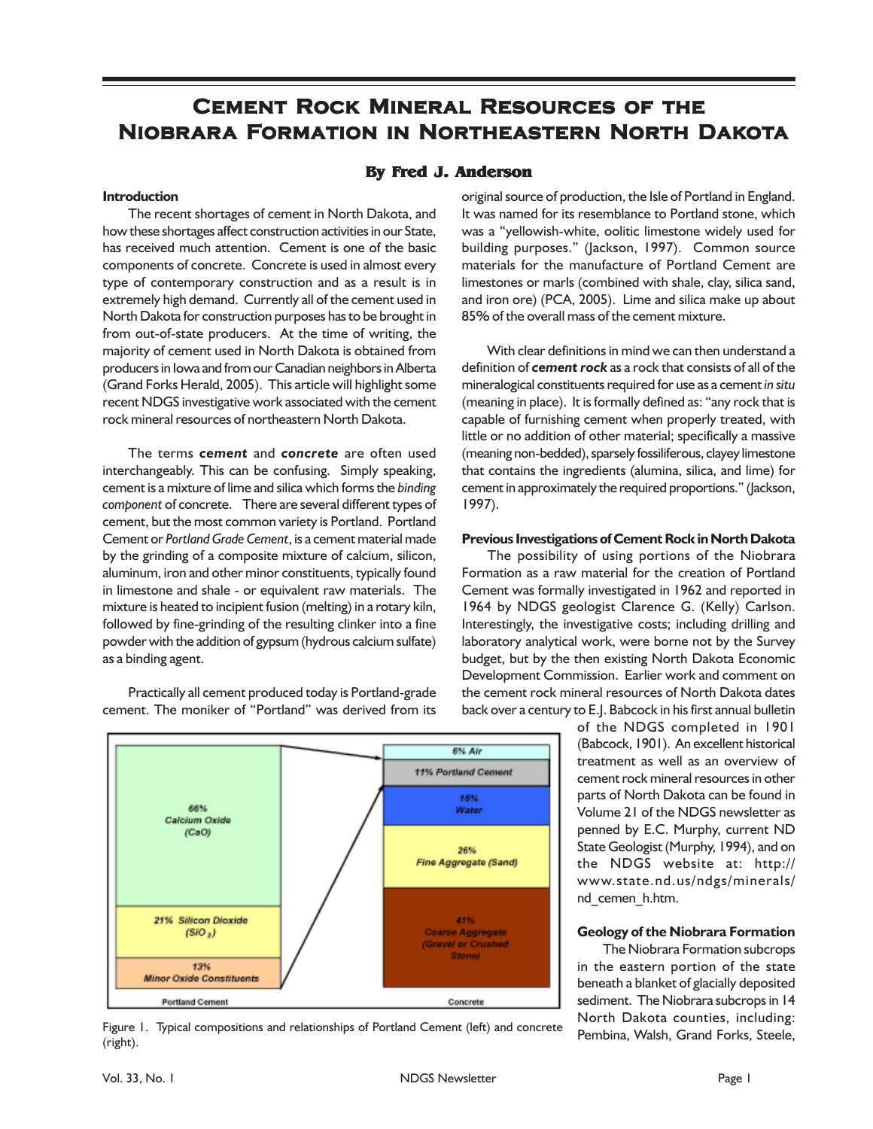# **Cement Rock Mineral Resources of the Niobrara Formation in Northeastern North Dakota**

# **By Fred J. Anderson**

## **Introduction**

The recent shortages of cement in North Dakota, and how these shortages affect construction activities in our State, has received much attention. Cement is one of the basic components of concrete. Concrete is used in almost every type of contemporary construction and as a result is in extremely high demand. Currently all of the cement used in North Dakota for construction purposes has to be brought in from out-of-state producers. At the time of writing, the majority of cement used in North Dakota is obtained from producers in Iowa and from our Canadian neighbors in Alberta (Grand Forks Herald, 2005). This article will highlight some recent NDGS investigative work associated with the cement rock mineral resources of northeastern North Dakota.

The terms *cement* and *concrete* are often used interchangeably. This can be confusing. Simply speaking, cement is a mixture of lime and silica which forms the *binding component* of concrete. There are several different types of cement, but the most common variety is Portland. Portland Cement or *Portland Grade Cement*, is a cement material made by the grinding of a composite mixture of calcium, silicon, aluminum, iron and other minor constituents, typically found in limestone and shale - or equivalent raw materials. The mixture is heated to incipient fusion (melting) in a rotary kiln, followed by fine-grinding of the resulting clinker into a fine powder with the addition of gypsum (hydrous calcium sulfate) as a binding agent.

Practically all cement produced today is Portland-grade cement. The moniker of "Portland" was derived from its



Figure 1. Typical compositions and relationships of Portland Cement (left) and concrete (right).

original source of production, the Isle of Portland in England. It was named for its resemblance to Portland stone, which was a "yellowish-white, oolitic limestone widely used for building purposes." (Jackson, 1997). Common source materials for the manufacture of Portland Cement are limestones or marls (combined with shale, clay, silica sand, and iron ore) (PCA, 2005). Lime and silica make up about 85% of the overall mass of the cement mixture.

With clear definitions in mind we can then understand a definition of *cement rock* as a rock that consists of all of the mineralogical constituents required for use as a cement *in situ* (meaning in place). It is formally defined as: "any rock that is capable of furnishing cement when properly treated, with little or no addition of other material; specifically a massive (meaning non-bedded), sparsely fossiliferous, clayey limestone that contains the ingredients (alumina, silica, and lime) for cement in approximately the required proportions." (Jackson, 1997).

#### **Previous Investigations of Cement Rock in North Dakota**

The possibility of using portions of the Niobrara Formation as a raw material for the creation of Portland Cement was formally investigated in 1962 and reported in 1964 by NDGS geologist Clarence G. (Kelly) Carlson. Interestingly, the investigative costs; including drilling and laboratory analytical work, were borne not by the Survey budget, but by the then existing North Dakota Economic Development Commission. Earlier work and comment on the cement rock mineral resources of North Dakota dates back over a century to E.J. Babcock in his first annual bulletin

> of the NDGS completed in 1901 (Babcock, 1901). An excellent historical treatment as well as an overview of cement rock mineral resources in other parts of North Dakota can be found in Volume 21 of the NDGS newsletter as penned by E.C. Murphy, current ND State Geologist (Murphy, 1994), and on the NDGS website at: http:// www.state.nd.us/ndgs/minerals/ nd\_cemen\_h.htm.

### **Geology of the Niobrara Formation**

The Niobrara Formation subcrops in the eastern portion of the state beneath a blanket of glacially deposited sediment. The Niobrara subcrops in 14 North Dakota counties, including: Pembina, Walsh, Grand Forks, Steele,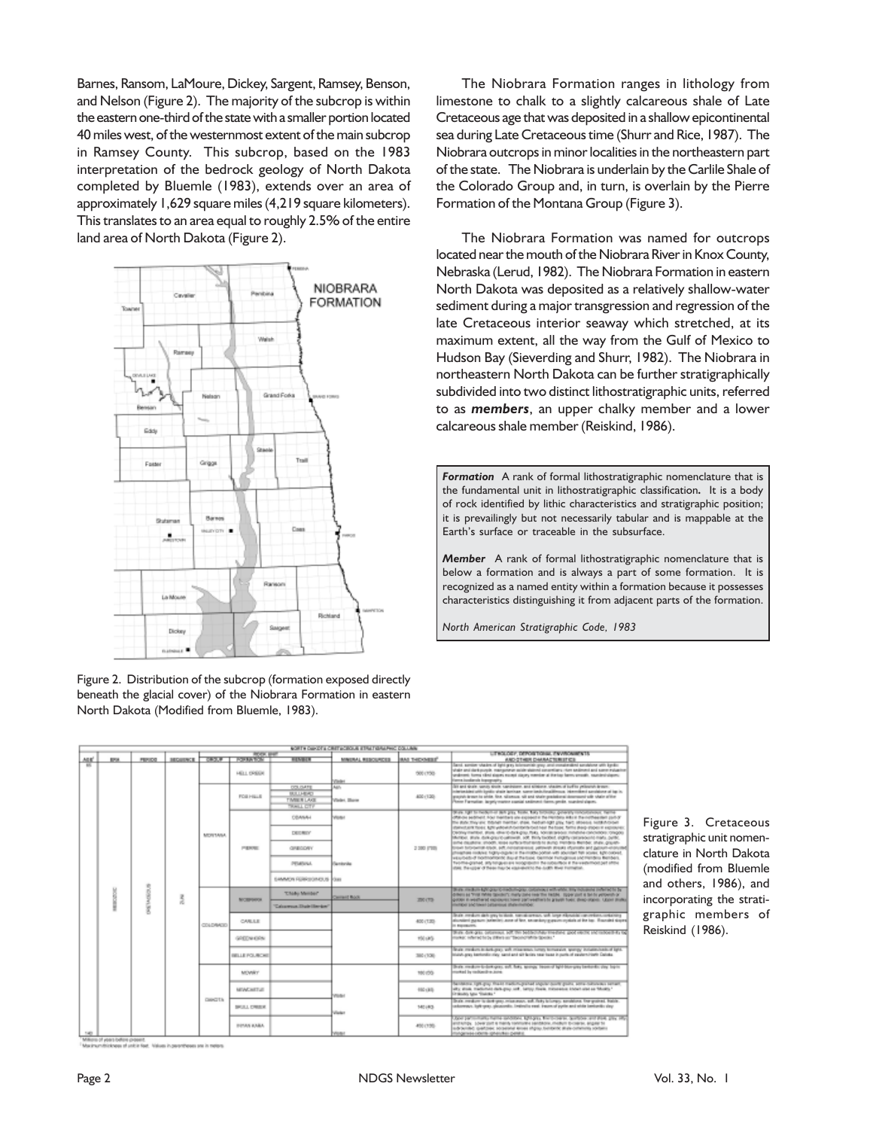Barnes, Ransom, LaMoure, Dickey, Sargent, Ramsey, Benson, and Nelson (Figure 2). The majority of the subcrop is within the eastern one-third of the state with a smaller portion located 40 miles west, of the westernmost extent of the main subcrop in Ramsey County. This subcrop, based on the 1983 interpretation of the bedrock geology of North Dakota completed by Bluemle (1983), extends over an area of approximately 1,629 square miles (4,219 square kilometers). This translates to an area equal to roughly 2.5% of the entire land area of North Dakota (Figure 2).



| Figure 2. Distribution of the subcrop (formation exposed directly |
|-------------------------------------------------------------------|
| beneath the glacial cover) of the Niobrara Formation in eastern   |
| North Dakota (Modified from Bluemle, 1983).                       |

The Niobrara Formation ranges in lithology from limestone to chalk to a slightly calcareous shale of Late Cretaceous age that was deposited in a shallow epicontinental sea during Late Cretaceous time (Shurr and Rice, 1987). The Niobrara outcrops in minor localities in the northeastern part of the state. The Niobrara is underlain by the Carlile Shale of the Colorado Group and, in turn, is overlain by the Pierre Formation of the Montana Group (Figure 3).

The Niobrara Formation was named for outcrops located near the mouth of the Niobrara River in Knox County, Nebraska (Lerud, 1982). The Niobrara Formation in eastern North Dakota was deposited as a relatively shallow-water sediment during a major transgression and regression of the late Cretaceous interior seaway which stretched, at its maximum extent, all the way from the Gulf of Mexico to Hudson Bay (Sieverding and Shurr, 1982). The Niobrara in northeastern North Dakota can be further stratigraphically subdivided into two distinct lithostratigraphic units, referred to as *members*, an upper chalky member and a lower calcareous shale member (Reiskind, 1986).

*Formation* A rank of formal lithostratigraphic nomenclature that is the fundamental unit in lithostratigraphic classification*.* It is a body of rock identified by lithic characteristics and stratigraphic position; it is prevailingly but not necessarily tabular and is mappable at the Earth's surface or traceable in the subsurface.

*Member* A rank of formal lithostratigraphic nomenclature that is below a formation and is always a part of some formation. It is recognized as a named entity within a formation because it possesses characteristics distinguishing it from adjacent parts of the formation.

*North American Stratigraphic Code, 1983*

|  | NORTH CARDIO & CRITICISCO, REPAIR GRAPHIC COLLAIN |                 |                |                |                       |                               |                                   |                    |                                                                                                                                                                                                                                                                                            |  |  |
|--|---------------------------------------------------|-----------------|----------------|----------------|-----------------------|-------------------------------|-----------------------------------|--------------------|--------------------------------------------------------------------------------------------------------------------------------------------------------------------------------------------------------------------------------------------------------------------------------------------|--|--|
|  |                                                   | <b>PORTABLE</b> |                |                |                       |                               | LITHGLODY, DEPORTOUR, ENVIOURINTS |                    |                                                                                                                                                                                                                                                                                            |  |  |
|  | ASK <sup>1</sup><br><b>EN</b>                     | <b>PERIOD</b>   | <b>MOURNCE</b> | GROUP II       |                       | <b><i>RENBER</i></b>          | MINIMAL RESOURCES                 | <b>BAI THOMBE!</b> | AND STHER DARRACTERED IDE<br>Sand, senior states of light grey tolerapide gray and mosaix-directory with banks.                                                                                                                                                                            |  |  |
|  |                                                   |                 |                |                | HELL DREEK            |                               | Vieter                            | 500 (150           | shake and dark purple, mangunerun aside shakind concentiars, then sediment and some estuation<br>unalment. Forma ribroi sissons escrept ciaçory member at the top farms amouth, naunient-algorial<br>larma Jozdiansk kopography                                                            |  |  |
|  |                                                   |                 |                | <b>MOVINGA</b> | FOR HILLS             | DOL/SATE                      | Auto-                             |                    | (a) and single, special single, nandegippe, and sillstone, shades, of building pellosings, largest.<br>contactant with basic shall layone save lask localities a bannibat produce of taxis,                                                                                                |  |  |
|  |                                                   |                 |                |                |                       | BULLHEAD                      |                                   | 400 (130)          | posible in each to orbits. See, silicence, sili and shale predelional documents with shale of the                                                                                                                                                                                          |  |  |
|  |                                                   |                 |                |                |                       | TIMIER LAKE                   | Visitet, Show                     |                    | Plane Farratian largely mater capial satirond farm amila, supplying any.                                                                                                                                                                                                                   |  |  |
|  |                                                   |                 |                |                |                       | <b>WALL CTV</b>               |                                   |                    | they light to be better or set you. Sook, but browns determined contribution factor                                                                                                                                                                                                        |  |  |
|  |                                                   |                 |                |                | PERMIT                | <b>DEANAL</b>                 | Visited                           |                    | Official additions, figure members une exposure in the members within the members part of<br>THE BUSIC TRAVIEW TOGANY FIGHTING USING THE FAILURE CITY OF RESIDENCE FAITHER FOUND                                                                                                           |  |  |
|  |                                                   |                 |                |                |                       | DESIREY                       |                                   |                    | dance are floor. After percent contacts out has the first deal store in expression<br>Detroymented, stolk official days that's homer single minister concerns creditor<br>Michael, Walk dalksplastic callowski, Jolf, Birlly Sadded, stighty calculation from Justic,                      |  |  |
|  |                                                   |                 |                |                |                       | <b>GREGORY</b>                |                                   | 2,500 (700)        | erhe musikire, shoch, soas outlete that ends is auto menders dienter, shaw, payah-<br>to the following stads, act, not parameter persons stream injuries and parameteristic<br>cheatres codove highly-out-to the matter potter with sourcest fall science agricolouse.                     |  |  |
|  |                                                   |                 | ž              |                |                       | PEMBINA.                      | Flamburika                        |                    | HELIDAS-D'INDINATIONISC BALE RASINE DETTINE FUSIQUINE INCITETIBILE BETRAS.<br>Teome-panet, anytotakera woopatern the societies it the vestimon out of the<br>WHE THINGEN IS THEN THUS HOLD WAS THE LIGHT BUILT FOR MAIN                                                                    |  |  |
|  |                                                   | 95745918        |                |                |                       | SAMMON FERROOMERUS Data       |                                   |                    |                                                                                                                                                                                                                                                                                            |  |  |
|  |                                                   |                 |                | 00409400       | <b>BICRIPSIOS</b>     | <b>TIMA: Member</b>           | <b>Contact Book</b>               | 2001/02/           | three medium kytographomedium-grap, collamine i with white. King motivative indiving to be<br>Offices as THIS RAIN GENERAL HARVENS FOR THE FASH. SUDAY WAS A SHOW ARE AT<br>gotter in weathered reprosent howe partiweathers to graves how: show-states: Upper studes                      |  |  |
|  |                                                   |                 |                |                |                       | <b>Calcumous Distribution</b> |                                   |                    | mininger and taken patterns of share-mininger.                                                                                                                                                                                                                                             |  |  |
|  |                                                   |                 |                |                | CANLLE                |                               |                                   | 400 (130)          | lisale mealum aints gegris sissis. Namai are sur, anti lunge elisopolisi nasurelismu sorialising<br>alcosteri panum ismeritri austral fest, strandary granom systals at the los. Househil singeri<br>to managers.                                                                          |  |  |
|  |                                                   |                 |                |                | GREEN CIDS            |                               |                                   | 100 (35)           | these dominates comments soft the beddecrifies treedient good exectic and resourcing and<br>make: inferred by to inferrom "Beconcrisive Special"                                                                                                                                           |  |  |
|  |                                                   |                 |                |                | <b>BELLE FOL/ROWE</b> |                               |                                   | 380 (100)          | Their medium in derivates with missiness homes formatalist spaning includes institution light.<br>study, area berturationing nami and sit bodes near base in parts of easterningly Calculus.                                                                                               |  |  |
|  |                                                   |                 |                | <b>GIACTS</b>  | <b>MOVARY</b>         |                               |                                   | 100105             | Durk meabow-to-box-gres, ext. finks, approps twoos-of hand-blow-grey be-to-effect play topics<br>morked by redicerding June.                                                                                                                                                               |  |  |
|  |                                                   |                 |                |                | MEACHETUE             |                               | Visibil                           | 102130             | facilities late par that makes paint state and pulse are subsequented<br>alty stok, mademic data pay set, lamp foulk, missense known also as "Mosts."<br>Ordento tato finanza i                                                                                                            |  |  |
|  |                                                   |                 |                |                | SKULL CREEK           |                               | Vister                            | 140183             | Shale medium to dork-year, misa-aspx, and fieldy to lunges, excelations. Energyatined, Bobble.<br>calcomagn, balk-gras, glasscoolic, limited is real, inspected partie and white bankardic stay.                                                                                           |  |  |
|  | 140                                               |                 |                |                | INVAN AAAA            |                               | Visibili                          | 450 (155)          | door participate have secured lighters for project factors and dow, you off-<br>entering 1-bear part is mainly controlled paintance, modern divisions, angain for<br>AUSTRALIANO GARDINAL ADGARDANI RAVAKI ATIZIKA DAVIDNOSO ATAN-OATMINING KONSAINA<br>Folgerade cabina opharches panelle |  |  |

i of yours before grosset.<br>ummissiones of unit is feet. Values in pershifteess see in melers

Figure 3. Cretaceous stratigraphic unit nomenclature in North Dakota (modified from Bluemle and others, 1986), and incorporating the stratigraphic members of Reiskind (1986).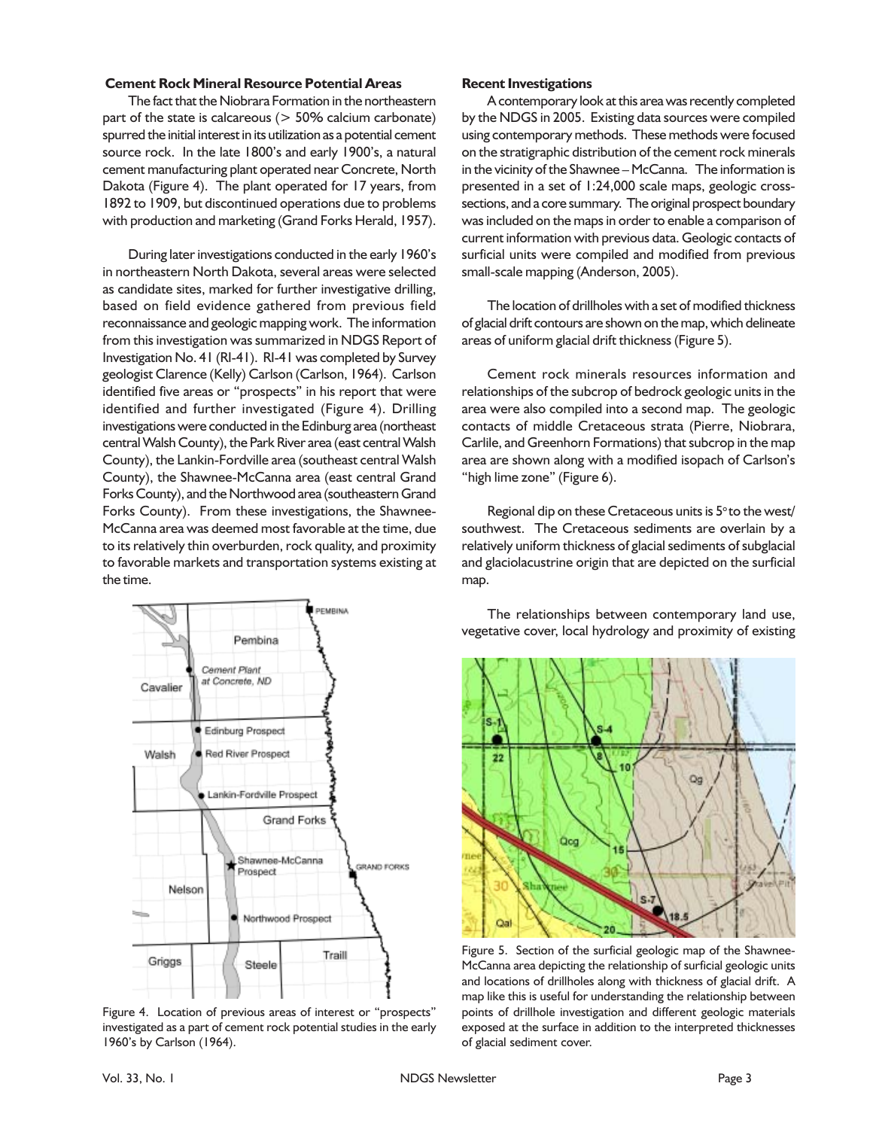#### **Cement Rock Mineral Resource Potential Areas**

The fact that the Niobrara Formation in the northeastern part of the state is calcareous (> 50% calcium carbonate) spurred the initial interest in its utilization as a potential cement source rock. In the late 1800's and early 1900's, a natural cement manufacturing plant operated near Concrete, North Dakota (Figure 4). The plant operated for 17 years, from 1892 to 1909, but discontinued operations due to problems with production and marketing (Grand Forks Herald, 1957).

During later investigations conducted in the early 1960's in northeastern North Dakota, several areas were selected as candidate sites, marked for further investigative drilling, based on field evidence gathered from previous field reconnaissance and geologic mapping work. The information from this investigation was summarized in NDGS Report of Investigation No. 41 (RI-41). RI-41 was completed by Survey geologist Clarence (Kelly) Carlson (Carlson, 1964). Carlson identified five areas or "prospects" in his report that were identified and further investigated (Figure 4). Drilling investigations were conducted in the Edinburg area (northeast central Walsh County), the Park River area (east central Walsh County), the Lankin-Fordville area (southeast central Walsh County), the Shawnee-McCanna area (east central Grand Forks County), and the Northwood area (southeastern Grand Forks County). From these investigations, the Shawnee-McCanna area was deemed most favorable at the time, due to its relatively thin overburden, rock quality, and proximity to favorable markets and transportation systems existing at the time.



Figure 4. Location of previous areas of interest or "prospects" investigated as a part of cement rock potential studies in the early 1960's by Carlson (1964).

#### **Recent Investigations**

A contemporary look at this area was recently completed by the NDGS in 2005. Existing data sources were compiled using contemporary methods. These methods were focused on the stratigraphic distribution of the cement rock minerals in the vicinity of the Shawnee – McCanna. The information is presented in a set of 1:24,000 scale maps, geologic crosssections, and a core summary. The original prospect boundary was included on the maps in order to enable a comparison of current information with previous data. Geologic contacts of surficial units were compiled and modified from previous small-scale mapping (Anderson, 2005).

The location of drillholes with a set of modified thickness of glacial drift contours are shown on the map, which delineate areas of uniform glacial drift thickness (Figure 5).

Cement rock minerals resources information and relationships of the subcrop of bedrock geologic units in the area were also compiled into a second map. The geologic contacts of middle Cretaceous strata (Pierre, Niobrara, Carlile, and Greenhorn Formations) that subcrop in the map area are shown along with a modified isopach of Carlson's "high lime zone" (Figure 6).

Regional dip on these Cretaceous units is  $5^\circ$  to the west/ southwest. The Cretaceous sediments are overlain by a relatively uniform thickness of glacial sediments of subglacial and glaciolacustrine origin that are depicted on the surficial map.

The relationships between contemporary land use, vegetative cover, local hydrology and proximity of existing



Figure 5. Section of the surficial geologic map of the Shawnee-McCanna area depicting the relationship of surficial geologic units and locations of drillholes along with thickness of glacial drift. A map like this is useful for understanding the relationship between points of drillhole investigation and different geologic materials exposed at the surface in addition to the interpreted thicknesses of glacial sediment cover.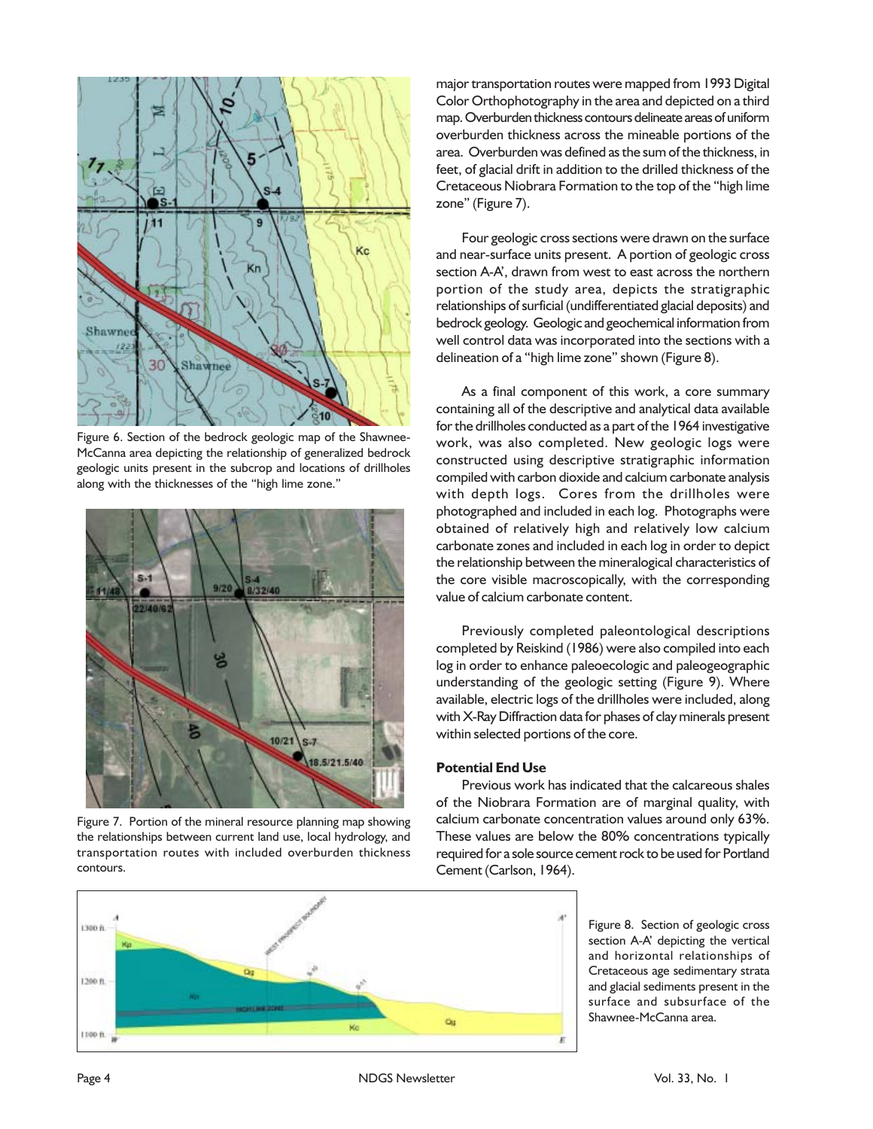

Figure 6. Section of the bedrock geologic map of the Shawnee-McCanna area depicting the relationship of generalized bedrock geologic units present in the subcrop and locations of drillholes along with the thicknesses of the "high lime zone."



Figure 7. Portion of the mineral resource planning map showing the relationships between current land use, local hydrology, and transportation routes with included overburden thickness contours.

major transportation routes were mapped from 1993 Digital Color Orthophotography in the area and depicted on a third map. Overburden thickness contours delineate areas of uniform overburden thickness across the mineable portions of the area. Overburden was defined as the sum of the thickness, in feet, of glacial drift in addition to the drilled thickness of the Cretaceous Niobrara Formation to the top of the "high lime zone" (Figure 7).

Four geologic cross sections were drawn on the surface and near-surface units present. A portion of geologic cross section A-A', drawn from west to east across the northern portion of the study area, depicts the stratigraphic relationships of surficial (undifferentiated glacial deposits) and bedrock geology. Geologic and geochemical information from well control data was incorporated into the sections with a delineation of a "high lime zone" shown (Figure 8).

As a final component of this work, a core summary containing all of the descriptive and analytical data available for the drillholes conducted as a part of the 1964 investigative work, was also completed. New geologic logs were constructed using descriptive stratigraphic information compiled with carbon dioxide and calcium carbonate analysis with depth logs. Cores from the drillholes were photographed and included in each log. Photographs were obtained of relatively high and relatively low calcium carbonate zones and included in each log in order to depict the relationship between the mineralogical characteristics of the core visible macroscopically, with the corresponding value of calcium carbonate content.

Previously completed paleontological descriptions completed by Reiskind (1986) were also compiled into each log in order to enhance paleoecologic and paleogeographic understanding of the geologic setting (Figure 9). Where available, electric logs of the drillholes were included, along with X-Ray Diffraction data for phases of clay minerals present within selected portions of the core.

## **Potential End Use**

Previous work has indicated that the calcareous shales of the Niobrara Formation are of marginal quality, with calcium carbonate concentration values around only 63%. These values are below the 80% concentrations typically required for a sole source cement rock to be used for Portland Cement (Carlson, 1964).



Figure 8. Section of geologic cross section A-A' depicting the vertical and horizontal relationships of Cretaceous age sedimentary strata and glacial sediments present in the surface and subsurface of the Shawnee-McCanna area.